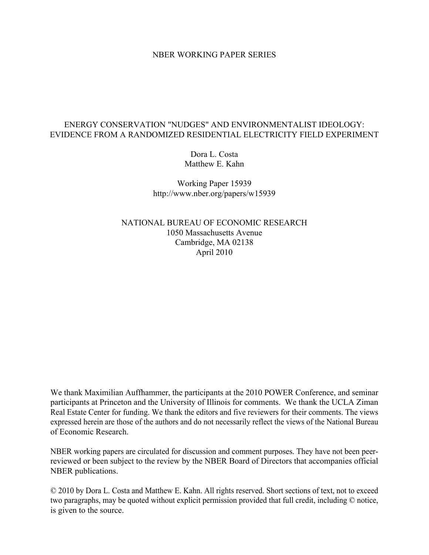### NBER WORKING PAPER SERIES

# ENERGY CONSERVATION "NUDGES" AND ENVIRONMENTALIST IDEOLOGY: EVIDENCE FROM A RANDOMIZED RESIDENTIAL ELECTRICITY FIELD EXPERIMENT

Dora L. Costa Matthew E. Kahn

Working Paper 15939 http://www.nber.org/papers/w15939

NATIONAL BUREAU OF ECONOMIC RESEARCH 1050 Massachusetts Avenue Cambridge, MA 02138 April 2010

We thank Maximilian Auffhammer, the participants at the 2010 POWER Conference, and seminar participants at Princeton and the University of Illinois for comments. We thank the UCLA Ziman Real Estate Center for funding. We thank the editors and five reviewers for their comments. The views expressed herein are those of the authors and do not necessarily reflect the views of the National Bureau of Economic Research.

NBER working papers are circulated for discussion and comment purposes. They have not been peerreviewed or been subject to the review by the NBER Board of Directors that accompanies official NBER publications.

© 2010 by Dora L. Costa and Matthew E. Kahn. All rights reserved. Short sections of text, not to exceed two paragraphs, may be quoted without explicit permission provided that full credit, including © notice, is given to the source.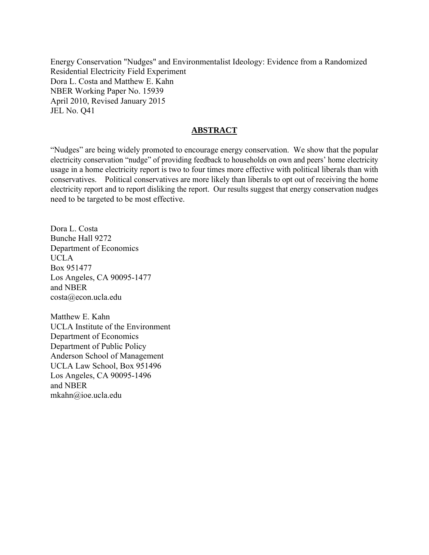Energy Conservation "Nudges" and Environmentalist Ideology: Evidence from a Randomized Residential Electricity Field Experiment Dora L. Costa and Matthew E. Kahn NBER Working Paper No. 15939 April 2010, Revised January 2015 JEL No. Q41

# **ABSTRACT**

"Nudges" are being widely promoted to encourage energy conservation. We show that the popular electricity conservation "nudge" of providing feedback to households on own and peers' home electricity usage in a home electricity report is two to four times more effective with political liberals than with conservatives. Political conservatives are more likely than liberals to opt out of receiving the home electricity report and to report disliking the report. Our results suggest that energy conservation nudges need to be targeted to be most effective.

Dora L. Costa Bunche Hall 9272 Department of Economics UCLA Box 951477 Los Angeles, CA 90095-1477 and NBER costa@econ.ucla.edu

Matthew E. Kahn UCLA Institute of the Environment Department of Economics Department of Public Policy Anderson School of Management UCLA Law School, Box 951496 Los Angeles, CA 90095-1496 and NBER mkahn@ioe.ucla.edu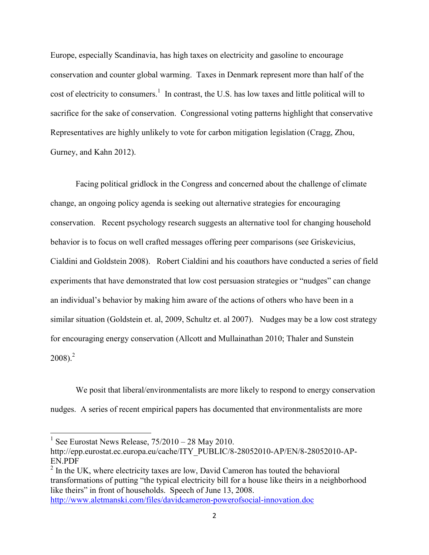Europe, especially Scandinavia, has high taxes on electricity and gasoline to encourage conservation and counter global warming. Taxes in Denmark represent more than half of the cost of electricity to consumers.<sup>1</sup> In contrast, the U.S. has low taxes and little political will to sacrifice for the sake of conservation. Congressional voting patterns highlight that conservative Representatives are highly unlikely to vote for carbon mitigation legislation (Cragg, Zhou, Gurney, and Kahn 2012).

 Facing political gridlock in the Congress and concerned about the challenge of climate change, an ongoing policy agenda is seeking out alternative strategies for encouraging conservation. Recent psychology research suggests an alternative tool for changing household behavior is to focus on well crafted messages offering peer comparisons (see Griskevicius, Cialdini and Goldstein 2008). Robert Cialdini and his coauthors have conducted a series of field experiments that have demonstrated that low cost persuasion strategies or "nudges" can change an individual's behavior by making him aware of the actions of others who have been in a similar situation (Goldstein et. al, 2009, Schultz et. al 2007). Nudges may be a low cost strategy for encouraging energy conservation (Allcott and Mullainathan 2010; Thaler and Sunstein  $2008$ )<sup>2</sup>

We posit that liberal/environmentalists are more likely to respond to energy conservation nudges. A series of recent empirical papers has documented that environmentalists are more

 $\overline{\phantom{a}}$ 

<sup>&</sup>lt;sup>1</sup> See Eurostat News Release,  $75/2010 - 28$  May 2010.

http://epp.eurostat.ec.europa.eu/cache/ITY\_PUBLIC/8-28052010-AP/EN/8-28052010-AP-EN.PDF

 $2$  In the UK, where electricity taxes are low, David Cameron has touted the behavioral transformations of putting "the typical electricity bill for a house like theirs in a neighborhood like theirs" in front of households. Speech of June 13, 2008.

<http://www.aletmanski.com/files/davidcameron-powerofsocial-innovation.doc>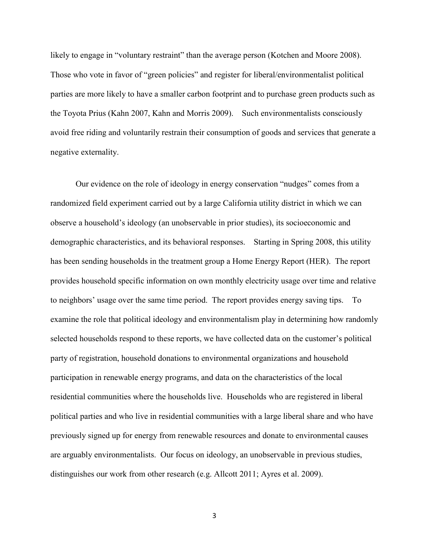likely to engage in "voluntary restraint" than the average person (Kotchen and Moore 2008). Those who vote in favor of "green policies" and register for liberal/environmentalist political parties are more likely to have a smaller carbon footprint and to purchase green products such as the Toyota Prius (Kahn 2007, Kahn and Morris 2009). Such environmentalists consciously avoid free riding and voluntarily restrain their consumption of goods and services that generate a negative externality.

 Our evidence on the role of ideology in energy conservation "nudges" comes from a randomized field experiment carried out by a large California utility district in which we can observe a household's ideology (an unobservable in prior studies), its socioeconomic and demographic characteristics, and its behavioral responses. Starting in Spring 2008, this utility has been sending households in the treatment group a Home Energy Report (HER). The report provides household specific information on own monthly electricity usage over time and relative to neighbors' usage over the same time period. The report provides energy saving tips. To examine the role that political ideology and environmentalism play in determining how randomly selected households respond to these reports, we have collected data on the customer's political party of registration, household donations to environmental organizations and household participation in renewable energy programs, and data on the characteristics of the local residential communities where the households live. Households who are registered in liberal political parties and who live in residential communities with a large liberal share and who have previously signed up for energy from renewable resources and donate to environmental causes are arguably environmentalists. Our focus on ideology, an unobservable in previous studies, distinguishes our work from other research (e.g. Allcott 2011; Ayres et al. 2009).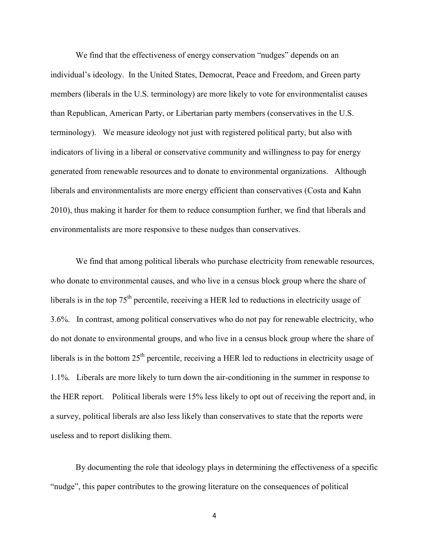We find that the effectiveness of energy conservation "nudges" depends on an individual's ideology. In the United States, Democrat, Peace and Freedom, and Green party members (liberals in the U.S. terminology) are more likely to vote for environmentalist causes than Republican, American Party, or Libertarian party members (conservatives in the U.S. terminology). We measure ideology not just with registered political party, but also with indicators of living in a liberal or conservative community and willingness to pay for energy generated from renewable resources and to donate to environmental organizations. Although liberals and environmentalists are more energy efficient than conservatives (Costa and Kahn 2010), thus making it harder for them to reduce consumption further, we find that liberals and environmentalists are more responsive to these nudges than conservatives.

We find that among political liberals who purchase electricity from renewable resources, who donate to environmental causes, and who live in a census block group where the share of liberals is in the top  $75<sup>th</sup>$  percentile, receiving a HER led to reductions in electricity usage of 3.6%. In contrast, among political conservatives who do not pay for renewable electricity, who do not donate to environmental groups, and who live in a census block group where the share of liberals is in the bottom  $25<sup>th</sup>$  percentile, receiving a HER led to reductions in electricity usage of 1.1%. Liberals are more likely to turn down the air-conditioning in the summer in response to the HER report. Political liberals were 15% less likely to opt out of receiving the report and, in a survey, political liberals are also less likely than conservatives to state that the reports were useless and to report disliking them.

By documenting the role that ideology plays in determining the effectiveness of a specific "nudge", this paper contributes to the growing literature on the consequences of political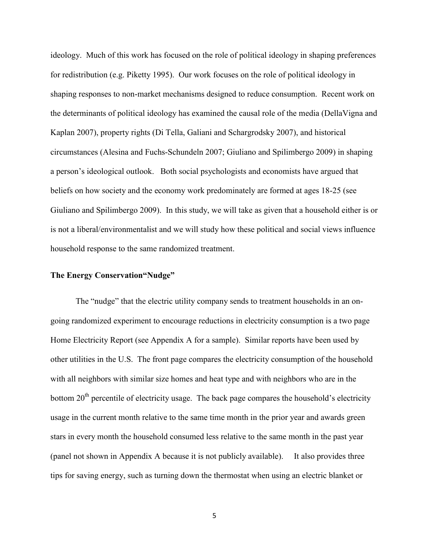ideology. Much of this work has focused on the role of political ideology in shaping preferences for redistribution (e.g. Piketty 1995). Our work focuses on the role of political ideology in shaping responses to non-market mechanisms designed to reduce consumption. Recent work on the determinants of political ideology has examined the causal role of the media (DellaVigna and Kaplan 2007), property rights (Di Tella, Galiani and Schargrodsky 2007), and historical circumstances (Alesina and Fuchs-Schundeln 2007; Giuliano and Spilimbergo 2009) in shaping a person's ideological outlook. Both social psychologists and economists have argued that beliefs on how society and the economy work predominately are formed at ages 18-25 (see Giuliano and Spilimbergo 2009). In this study, we will take as given that a household either is or is not a liberal/environmentalist and we will study how these political and social views influence household response to the same randomized treatment.

### **The Energy Conservation"Nudge"**

The "nudge" that the electric utility company sends to treatment households in an ongoing randomized experiment to encourage reductions in electricity consumption is a two page Home Electricity Report (see Appendix A for a sample). Similar reports have been used by other utilities in the U.S. The front page compares the electricity consumption of the household with all neighbors with similar size homes and heat type and with neighbors who are in the bottom 20<sup>th</sup> percentile of electricity usage. The back page compares the household's electricity usage in the current month relative to the same time month in the prior year and awards green stars in every month the household consumed less relative to the same month in the past year (panel not shown in Appendix A because it is not publicly available). It also provides three tips for saving energy, such as turning down the thermostat when using an electric blanket or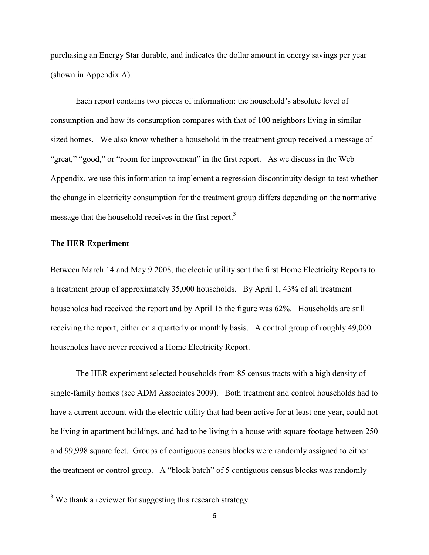purchasing an Energy Star durable, and indicates the dollar amount in energy savings per year (shown in Appendix A).

Each report contains two pieces of information: the household's absolute level of consumption and how its consumption compares with that of 100 neighbors living in similarsized homes. We also know whether a household in the treatment group received a message of "great," "good," or "room for improvement" in the first report. As we discuss in the Web Appendix, we use this information to implement a regression discontinuity design to test whether the change in electricity consumption for the treatment group differs depending on the normative message that the household receives in the first report.<sup>3</sup>

#### **The HER Experiment**

 $\overline{\phantom{a}}$ 

Between March 14 and May 9 2008, the electric utility sent the first Home Electricity Reports to a treatment group of approximately 35,000 households. By April 1, 43% of all treatment households had received the report and by April 15 the figure was 62%. Households are still receiving the report, either on a quarterly or monthly basis. A control group of roughly 49,000 households have never received a Home Electricity Report.

 The HER experiment selected households from 85 census tracts with a high density of single-family homes (see ADM Associates 2009). Both treatment and control households had to have a current account with the electric utility that had been active for at least one year, could not be living in apartment buildings, and had to be living in a house with square footage between 250 and 99,998 square feet. Groups of contiguous census blocks were randomly assigned to either the treatment or control group. A "block batch" of 5 contiguous census blocks was randomly

 $3$  We thank a reviewer for suggesting this research strategy.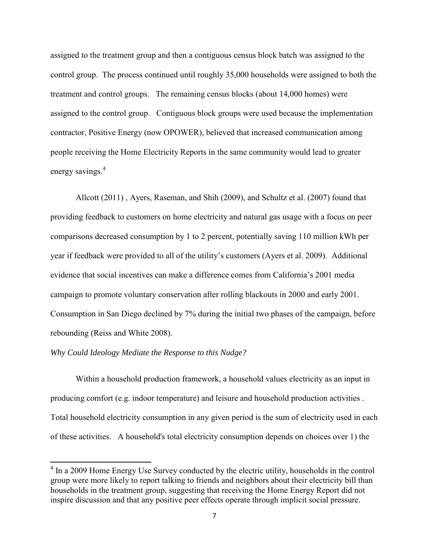assigned to the treatment group and then a contiguous census block batch was assigned to the control group. The process continued until roughly 35,000 households were assigned to both the treatment and control groups. The remaining census blocks (about 14,000 homes) were assigned to the control group. Contiguous block groups were used because the implementation contractor, Positive Energy (now OPOWER), believed that increased communication among people receiving the Home Electricity Reports in the same community would lead to greater energy savings.<sup>4</sup>

Allcott (2011) , Ayers, Raseman, and Shih (2009), and Schultz et al. (2007) found that providing feedback to customers on home electricity and natural gas usage with a focus on peer comparisons decreased consumption by 1 to 2 percent, potentially saving 110 million kWh per year if feedback were provided to all of the utility's customers (Ayers et al. 2009). Additional evidence that social incentives can make a difference comes from California's 2001 media campaign to promote voluntary conservation after rolling blackouts in 2000 and early 2001. Consumption in San Diego declined by 7% during the initial two phases of the campaign, before rebounding (Reiss and White 2008).

### *Why Could Ideology Mediate the Response to this Nudge?*

 $\overline{a}$ 

Within a household production framework, a household values electricity as an input in producing comfort (e.g. indoor temperature) and leisure and household production activities . Total household electricity consumption in any given period is the sum of electricity used in each of these activities. A household's total electricity consumption depends on choices over 1) the

<sup>&</sup>lt;sup>4</sup> In a 2009 Home Energy Use Survey conducted by the electric utility, households in the control group were more likely to report talking to friends and neighbors about their electricity bill than households in the treatment group, suggesting that receiving the Home Energy Report did not inspire discussion and that any positive peer effects operate through implicit social pressure.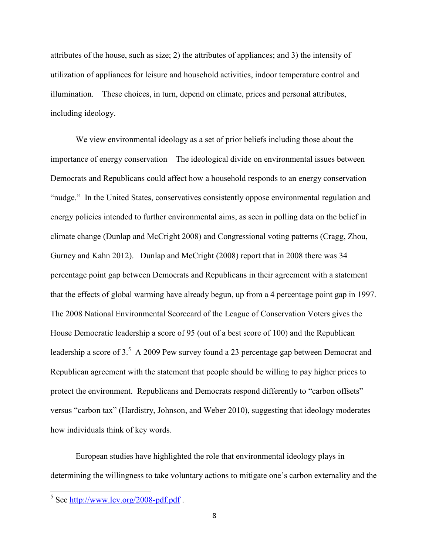attributes of the house, such as size; 2) the attributes of appliances; and 3) the intensity of utilization of appliances for leisure and household activities, indoor temperature control and illumination. These choices, in turn, depend on climate, prices and personal attributes, including ideology.

We view environmental ideology as a set of prior beliefs including those about the importance of energy conservation The ideological divide on environmental issues between Democrats and Republicans could affect how a household responds to an energy conservation "nudge." In the United States, conservatives consistently oppose environmental regulation and energy policies intended to further environmental aims, as seen in polling data on the belief in climate change (Dunlap and McCright 2008) and Congressional voting patterns (Cragg, Zhou, Gurney and Kahn 2012). Dunlap and McCright (2008) report that in 2008 there was 34 percentage point gap between Democrats and Republicans in their agreement with a statement that the effects of global warming have already begun, up from a 4 percentage point gap in 1997. The 2008 National Environmental Scorecard of the League of Conservation Voters gives the House Democratic leadership a score of 95 (out of a best score of 100) and the Republican leadership a score of  $3<sup>5</sup>$  A 2009 Pew survey found a 23 percentage gap between Democrat and Republican agreement with the statement that people should be willing to pay higher prices to protect the environment. Republicans and Democrats respond differently to "carbon offsets" versus "carbon tax" (Hardistry, Johnson, and Weber 2010), suggesting that ideology moderates how individuals think of key words.

European studies have highlighted the role that environmental ideology plays in determining the willingness to take voluntary actions to mitigate one's carbon externality and the

<sup>&</sup>lt;sup>5</sup> See <u>http://www.lcv.org/2008-pdf.pdf</u>.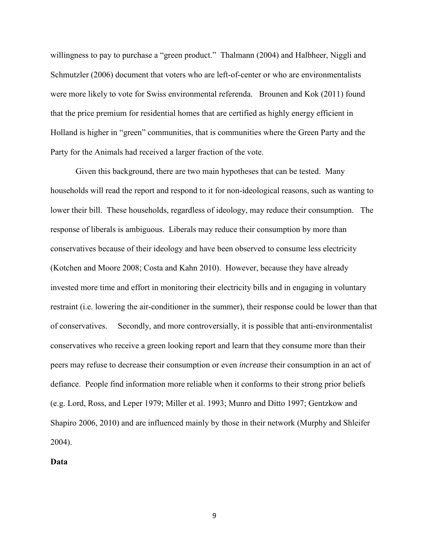willingness to pay to purchase a "green product." Thalmann (2004) and Halbheer, Niggli and Schmutzler (2006) document that voters who are left-of-center or who are environmentalists were more likely to vote for Swiss environmental referenda. Brounen and Kok (2011) found that the price premium for residential homes that are certified as highly energy efficient in Holland is higher in "green" communities, that is communities where the Green Party and the Party for the Animals had received a larger fraction of the vote.

Given this background, there are two main hypotheses that can be tested. Many households will read the report and respond to it for non-ideological reasons, such as wanting to lower their bill. These households, regardless of ideology, may reduce their consumption. The response of liberals is ambiguous. Liberals may reduce their consumption by more than conservatives because of their ideology and have been observed to consume less electricity (Kotchen and Moore 2008; Costa and Kahn 2010). However, because they have already invested more time and effort in monitoring their electricity bills and in engaging in voluntary restraint (i.e. lowering the air-conditioner in the summer), their response could be lower than that of conservatives. Secondly, and more controversially, it is possible that anti-environmentalist conservatives who receive a green looking report and learn that they consume more than their peers may refuse to decrease their consumption or even *increase* their consumption in an act of defiance. People find information more reliable when it conforms to their strong prior beliefs (e.g. Lord, Ross, and Leper 1979; Miller et al. 1993; Munro and Ditto 1997; Gentzkow and Shapiro 2006, 2010) and are influenced mainly by those in their network (Murphy and Shleifer 2004).

**Data**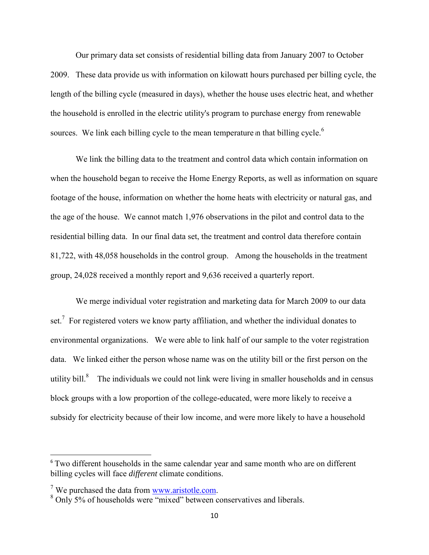Our primary data set consists of residential billing data from January 2007 to October 2009. These data provide us with information on kilowatt hours purchased per billing cycle, the length of the billing cycle (measured in days), whether the house uses electric heat, and whether the household is enrolled in the electric utility's program to purchase energy from renewable sources. We link each billing cycle to the mean temperature in that billing cycle.<sup>6</sup>

We link the billing data to the treatment and control data which contain information on when the household began to receive the Home Energy Reports, as well as information on square footage of the house, information on whether the home heats with electricity or natural gas, and the age of the house. We cannot match 1,976 observations in the pilot and control data to the residential billing data. In our final data set, the treatment and control data therefore contain 81,722, with 48,058 households in the control group. Among the households in the treatment group, 24,028 received a monthly report and 9,636 received a quarterly report.

We merge individual voter registration and marketing data for March 2009 to our data set.<sup>7</sup> For registered voters we know party affiliation, and whether the individual donates to environmental organizations. We were able to link half of our sample to the voter registration data. We linked either the person whose name was on the utility bill or the first person on the utility bill. $\delta$  The individuals we could not link were living in smaller households and in census block groups with a low proportion of the college-educated, were more likely to receive a subsidy for electricity because of their low income, and were more likely to have a household

 $\overline{\phantom{a}}$ 

<sup>&</sup>lt;sup>6</sup> Two different households in the same calendar year and same month who are on different billing cycles will face *different* climate conditions.

 $7$  We purchased the data from [www.aristotle.com.](http://www.aristotle.com/)

<sup>&</sup>lt;sup>8</sup> Only 5% of households were "mixed" between conservatives and liberals.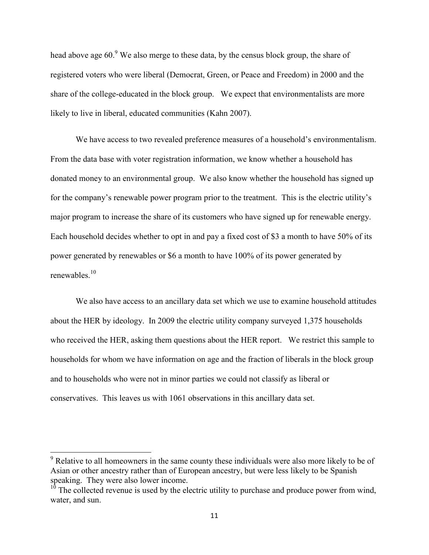head above age  $60.9$  We also merge to these data, by the census block group, the share of registered voters who were liberal (Democrat, Green, or Peace and Freedom) in 2000 and the share of the college-educated in the block group. We expect that environmentalists are more likely to live in liberal, educated communities (Kahn 2007).

We have access to two revealed preference measures of a household's environmentalism. From the data base with voter registration information, we know whether a household has donated money to an environmental group. We also know whether the household has signed up for the company's renewable power program prior to the treatment. This is the electric utility's major program to increase the share of its customers who have signed up for renewable energy. Each household decides whether to opt in and pay a fixed cost of \$3 a month to have 50% of its power generated by renewables or \$6 a month to have 100% of its power generated by renewables.<sup>10</sup>

We also have access to an ancillary data set which we use to examine household attitudes about the HER by ideology. In 2009 the electric utility company surveyed 1,375 households who received the HER, asking them questions about the HER report. We restrict this sample to households for whom we have information on age and the fraction of liberals in the block group and to households who were not in minor parties we could not classify as liberal or conservatives. This leaves us with 1061 observations in this ancillary data set.

l

 $9$  Relative to all homeowners in the same county these individuals were also more likely to be of Asian or other ancestry rather than of European ancestry, but were less likely to be Spanish speaking. They were also lower income.

The collected revenue is used by the electric utility to purchase and produce power from wind, water, and sun.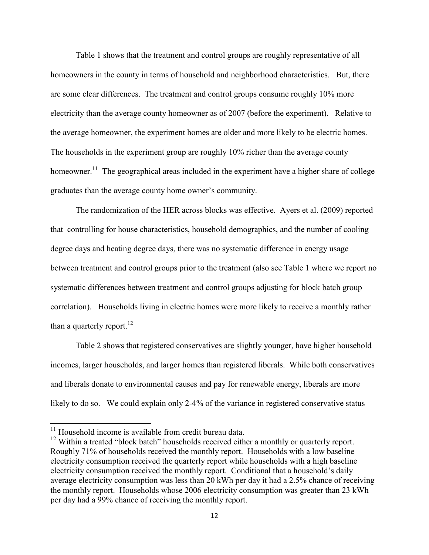Table 1 shows that the treatment and control groups are roughly representative of all homeowners in the county in terms of household and neighborhood characteristics. But, there are some clear differences. The treatment and control groups consume roughly 10% more electricity than the average county homeowner as of 2007 (before the experiment). Relative to the average homeowner, the experiment homes are older and more likely to be electric homes. The households in the experiment group are roughly 10% richer than the average county homeowner.<sup>11</sup> The geographical areas included in the experiment have a higher share of college graduates than the average county home owner's community.

The randomization of the HER across blocks was effective. Ayers et al. (2009) reported that controlling for house characteristics, household demographics, and the number of cooling degree days and heating degree days, there was no systematic difference in energy usage between treatment and control groups prior to the treatment (also see Table 1 where we report no systematic differences between treatment and control groups adjusting for block batch group correlation). Households living in electric homes were more likely to receive a monthly rather than a quarterly report. $^{12}$ 

Table 2 shows that registered conservatives are slightly younger, have higher household incomes, larger households, and larger homes than registered liberals. While both conservatives and liberals donate to environmental causes and pay for renewable energy, liberals are more likely to do so. We could explain only 2-4% of the variance in registered conservative status

 $\overline{\phantom{a}}$ 

 $11$  Household income is available from credit bureau data.

<sup>&</sup>lt;sup>12</sup> Within a treated "block batch" households received either a monthly or quarterly report. Roughly 71% of households received the monthly report. Households with a low baseline electricity consumption received the quarterly report while households with a high baseline electricity consumption received the monthly report. Conditional that a household's daily average electricity consumption was less than 20 kWh per day it had a 2.5% chance of receiving the monthly report. Households whose 2006 electricity consumption was greater than 23 kWh per day had a 99% chance of receiving the monthly report.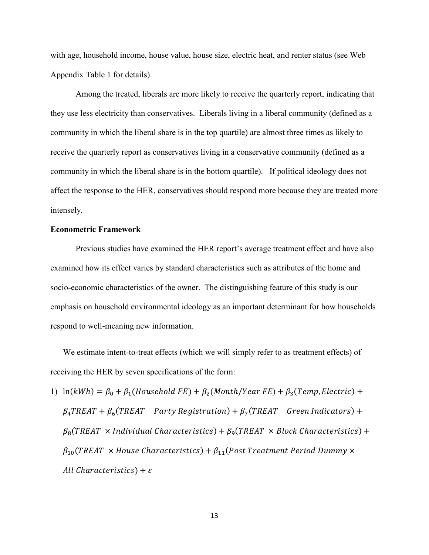with age, household income, house value, house size, electric heat, and renter status (see Web Appendix Table 1 for details).

Among the treated, liberals are more likely to receive the quarterly report, indicating that they use less electricity than conservatives. Liberals living in a liberal community (defined as a community in which the liberal share is in the top quartile) are almost three times as likely to receive the quarterly report as conservatives living in a conservative community (defined as a community in which the liberal share is in the bottom quartile). If political ideology does not affect the response to the HER, conservatives should respond more because they are treated more intensely.

### **Econometric Framework**

Previous studies have examined the HER report's average treatment effect and have also examined how its effect varies by standard characteristics such as attributes of the home and socio-economic characteristics of the owner. The distinguishing feature of this study is our emphasis on household environmental ideology as an important determinant for how households respond to well-meaning new information.

We estimate intent-to-treat effects (which we will simply refer to as treatment effects) of receiving the HER by seven specifications of the form:

1)  $\ln(kWh) = \beta_0 + \beta_1(Household FE) + \beta_2(Month/Year FE) + \beta_3($  $\beta_4$ TREAT +  $\beta_6$ (TREAT Party Registration) +  $\beta_7$ (  $\beta_8$ (TREAT  $\times$  Individual Characteristics) +  $\beta_9$ (  $\beta_{10}(TREAT \times House Characteristics) + \beta_{11}(Post Treatment Period Dumm$ y × All Characteristics) +  $\varepsilon$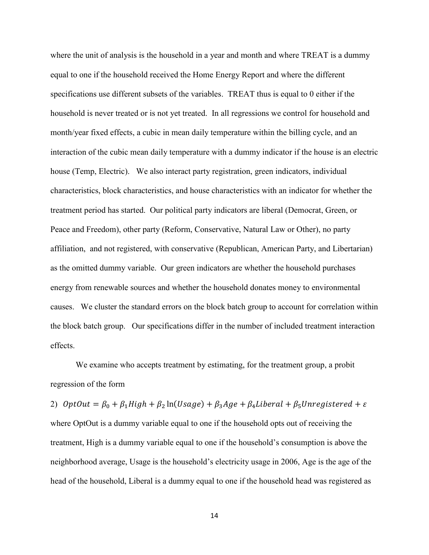where the unit of analysis is the household in a year and month and where TREAT is a dummy equal to one if the household received the Home Energy Report and where the different specifications use different subsets of the variables. TREAT thus is equal to 0 either if the household is never treated or is not yet treated. In all regressions we control for household and month/year fixed effects, a cubic in mean daily temperature within the billing cycle, and an interaction of the cubic mean daily temperature with a dummy indicator if the house is an electric house (Temp, Electric). We also interact party registration, green indicators, individual characteristics, block characteristics, and house characteristics with an indicator for whether the treatment period has started. Our political party indicators are liberal (Democrat, Green, or Peace and Freedom), other party (Reform, Conservative, Natural Law or Other), no party affiliation, and not registered, with conservative (Republican, American Party, and Libertarian) as the omitted dummy variable. Our green indicators are whether the household purchases energy from renewable sources and whether the household donates money to environmental causes. We cluster the standard errors on the block batch group to account for correlation within the block batch group. Our specifications differ in the number of included treatment interaction effects.

We examine who accepts treatment by estimating, for the treatment group, a probit regression of the form

2)  $0ptOut = \beta_0 + \beta_1 High + \beta_2 ln(Usage) + \beta_3 Age + \beta_4 Liberal + \beta_5 Unregistered + \varepsilon$ where OptOut is a dummy variable equal to one if the household opts out of receiving the treatment, High is a dummy variable equal to one if the household's consumption is above the neighborhood average, Usage is the household's electricity usage in 2006, Age is the age of the head of the household, Liberal is a dummy equal to one if the household head was registered as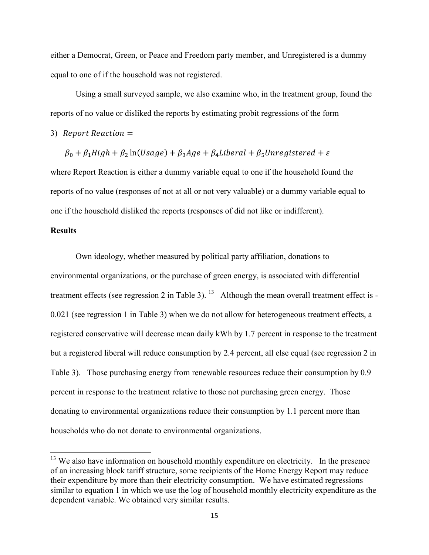either a Democrat, Green, or Peace and Freedom party member, and Unregistered is a dummy equal to one of if the household was not registered.

 Using a small surveyed sample, we also examine who, in the treatment group, found the reports of no value or disliked the reports by estimating probit regressions of the form

3) Report Reaction  $=$ 

# $\beta_0 + \beta_1 High + \beta_2 \ln(Usage) + \beta_3 Age + \beta_4 Liberal + \beta_5 Unregistered + \varepsilon$

where Report Reaction is either a dummy variable equal to one if the household found the reports of no value (responses of not at all or not very valuable) or a dummy variable equal to one if the household disliked the reports (responses of did not like or indifferent).

### **Results**

l

Own ideology, whether measured by political party affiliation, donations to environmental organizations, or the purchase of green energy, is associated with differential treatment effects (see regression 2 in Table 3).  $^{13}$  Although the mean overall treatment effect is -0.021 (see regression 1 in Table 3) when we do not allow for heterogeneous treatment effects, a registered conservative will decrease mean daily kWh by 1.7 percent in response to the treatment but a registered liberal will reduce consumption by 2.4 percent, all else equal (see regression 2 in Table 3). Those purchasing energy from renewable resources reduce their consumption by 0.9 percent in response to the treatment relative to those not purchasing green energy. Those donating to environmental organizations reduce their consumption by 1.1 percent more than households who do not donate to environmental organizations.

 $13$  We also have information on household monthly expenditure on electricity. In the presence of an increasing block tariff structure, some recipients of the Home Energy Report may reduce their expenditure by more than their electricity consumption. We have estimated regressions similar to equation 1 in which we use the log of household monthly electricity expenditure as the dependent variable. We obtained very similar results.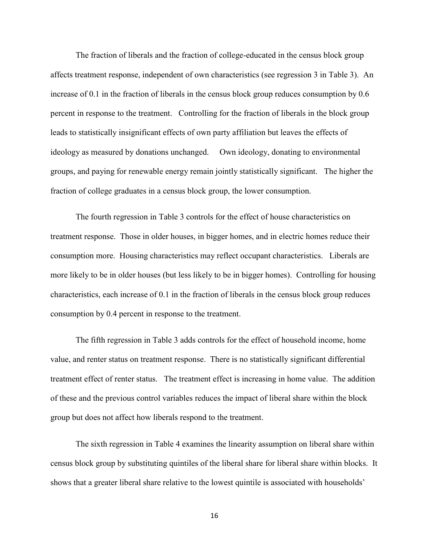The fraction of liberals and the fraction of college-educated in the census block group affects treatment response, independent of own characteristics (see regression 3 in Table 3). An increase of 0.1 in the fraction of liberals in the census block group reduces consumption by 0.6 percent in response to the treatment. Controlling for the fraction of liberals in the block group leads to statistically insignificant effects of own party affiliation but leaves the effects of ideology as measured by donations unchanged. Own ideology, donating to environmental groups, and paying for renewable energy remain jointly statistically significant. The higher the fraction of college graduates in a census block group, the lower consumption.

The fourth regression in Table 3 controls for the effect of house characteristics on treatment response. Those in older houses, in bigger homes, and in electric homes reduce their consumption more. Housing characteristics may reflect occupant characteristics. Liberals are more likely to be in older houses (but less likely to be in bigger homes). Controlling for housing characteristics, each increase of 0.1 in the fraction of liberals in the census block group reduces consumption by 0.4 percent in response to the treatment.

The fifth regression in Table 3 adds controls for the effect of household income, home value, and renter status on treatment response. There is no statistically significant differential treatment effect of renter status. The treatment effect is increasing in home value. The addition of these and the previous control variables reduces the impact of liberal share within the block group but does not affect how liberals respond to the treatment.

The sixth regression in Table 4 examines the linearity assumption on liberal share within census block group by substituting quintiles of the liberal share for liberal share within blocks. It shows that a greater liberal share relative to the lowest quintile is associated with households'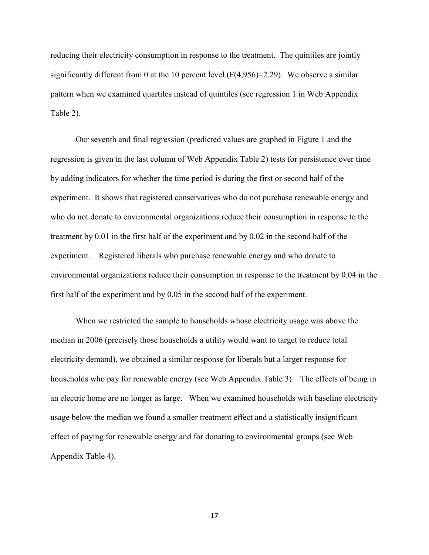reducing their electricity consumption in response to the treatment. The quintiles are jointly significantly different from 0 at the 10 percent level  $(F(4, 956)=2.29)$ . We observe a similar pattern when we examined quartiles instead of quintiles (see regression 1 in Web Appendix Table 2).

Our seventh and final regression (predicted values are graphed in Figure 1 and the regression is given in the last column of Web Appendix Table 2) tests for persistence over time by adding indicators for whether the time period is during the first or second half of the experiment. It shows that registered conservatives who do not purchase renewable energy and who do not donate to environmental organizations reduce their consumption in response to the treatment by 0.01 in the first half of the experiment and by 0.02 in the second half of the experiment. Registered liberals who purchase renewable energy and who donate to environmental organizations reduce their consumption in response to the treatment by 0.04 in the first half of the experiment and by 0.05 in the second half of the experiment.

When we restricted the sample to households whose electricity usage was above the median in 2006 (precisely those households a utility would want to target to reduce total electricity demand), we obtained a similar response for liberals but a larger response for households who pay for renewable energy (see Web Appendix Table 3). The effects of being in an electric home are no longer as large. When we examined households with baseline electricity usage below the median we found a smaller treatment effect and a statistically insignificant effect of paying for renewable energy and for donating to environmental groups (see Web Appendix Table 4).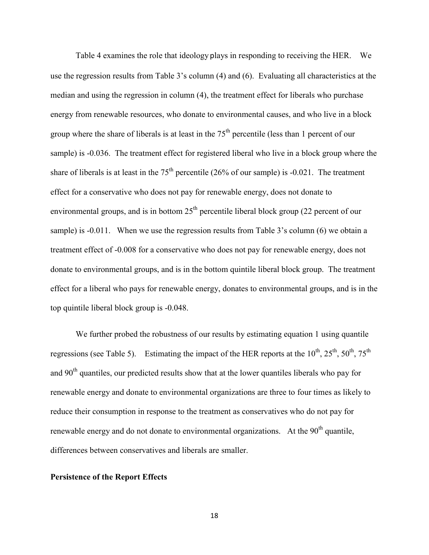Table 4 examines the role that ideology plays in responding to receiving the HER. We use the regression results from Table 3's column (4) and (6). Evaluating all characteristics at the median and using the regression in column (4), the treatment effect for liberals who purchase energy from renewable resources, who donate to environmental causes, and who live in a block group where the share of liberals is at least in the  $75<sup>th</sup>$  percentile (less than 1 percent of our sample) is -0.036. The treatment effect for registered liberal who live in a block group where the share of liberals is at least in the  $75<sup>th</sup>$  percentile (26% of our sample) is -0.021. The treatment effect for a conservative who does not pay for renewable energy, does not donate to environmental groups, and is in bottom  $25<sup>th</sup>$  percentile liberal block group (22 percent of our sample) is -0.011. When we use the regression results from Table 3's column (6) we obtain a treatment effect of -0.008 for a conservative who does not pay for renewable energy, does not donate to environmental groups, and is in the bottom quintile liberal block group. The treatment effect for a liberal who pays for renewable energy, donates to environmental groups, and is in the top quintile liberal block group is -0.048.

We further probed the robustness of our results by estimating equation 1 using quantile regressions (see Table 5). Estimating the impact of the HER reports at the  $10^{th}$ ,  $25^{th}$ ,  $50^{th}$ ,  $75^{th}$ and 90<sup>th</sup> quantiles, our predicted results show that at the lower quantiles liberals who pay for renewable energy and donate to environmental organizations are three to four times as likely to reduce their consumption in response to the treatment as conservatives who do not pay for renewable energy and do not donate to environmental organizations. At the  $90<sup>th</sup>$  quantile, differences between conservatives and liberals are smaller.

#### **Persistence of the Report Effects**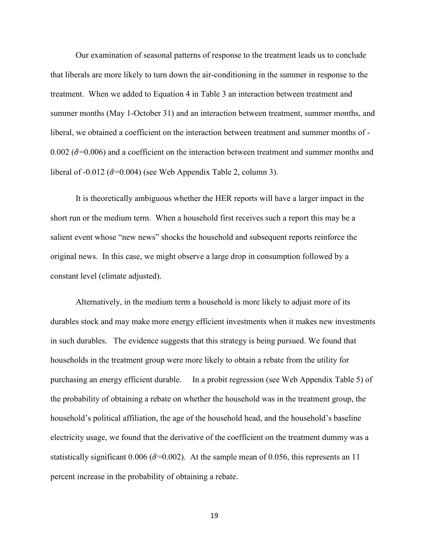Our examination of seasonal patterns of response to the treatment leads us to conclude that liberals are more likely to turn down the air-conditioning in the summer in response to the treatment. When we added to Equation 4 in Table 3 an interaction between treatment and summer months (May 1-October 31) and an interaction between treatment, summer months, and liberal, we obtained a coefficient on the interaction between treatment and summer months of - 0.002 ( $\hat{\sigma}$ =0.006) and a coefficient on the interaction between treatment and summer months and liberal of  $-0.012$  ( $\hat{\sigma}$ =0.004) (see Web Appendix Table 2, column 3).

It is theoretically ambiguous whether the HER reports will have a larger impact in the short run or the medium term. When a household first receives such a report this may be a salient event whose "new news" shocks the household and subsequent reports reinforce the original news. In this case, we might observe a large drop in consumption followed by a constant level (climate adjusted).

Alternatively, in the medium term a household is more likely to adjust more of its durables stock and may make more energy efficient investments when it makes new investments in such durables. The evidence suggests that this strategy is being pursued. We found that households in the treatment group were more likely to obtain a rebate from the utility for purchasing an energy efficient durable. In a probit regression (see Web Appendix Table 5) of the probability of obtaining a rebate on whether the household was in the treatment group, the household's political affiliation, the age of the household head, and the household's baseline electricity usage, we found that the derivative of the coefficient on the treatment dummy was a statistically significant 0.006 ( $\hat{\sigma}$ =0.002). At the sample mean of 0.056, this represents an 11 percent increase in the probability of obtaining a rebate.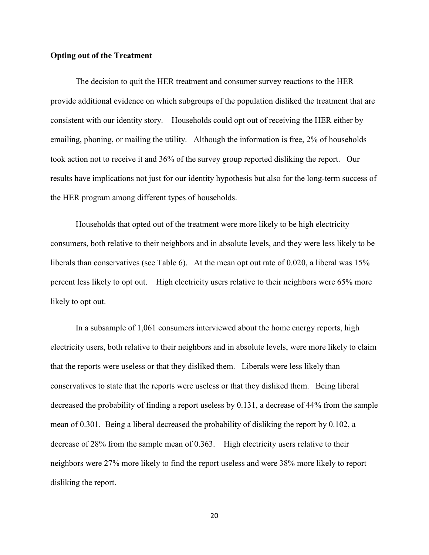### **Opting out of the Treatment**

 The decision to quit the HER treatment and consumer survey reactions to the HER provide additional evidence on which subgroups of the population disliked the treatment that are consistent with our identity story. Households could opt out of receiving the HER either by emailing, phoning, or mailing the utility. Although the information is free, 2% of households took action not to receive it and 36% of the survey group reported disliking the report. Our results have implications not just for our identity hypothesis but also for the long-term success of the HER program among different types of households.

Households that opted out of the treatment were more likely to be high electricity consumers, both relative to their neighbors and in absolute levels, and they were less likely to be liberals than conservatives (see Table 6). At the mean opt out rate of 0.020, a liberal was 15% percent less likely to opt out. High electricity users relative to their neighbors were 65% more likely to opt out.

In a subsample of 1,061 consumers interviewed about the home energy reports, high electricity users, both relative to their neighbors and in absolute levels, were more likely to claim that the reports were useless or that they disliked them. Liberals were less likely than conservatives to state that the reports were useless or that they disliked them. Being liberal decreased the probability of finding a report useless by 0.131, a decrease of 44% from the sample mean of 0.301. Being a liberal decreased the probability of disliking the report by 0.102, a decrease of 28% from the sample mean of 0.363. High electricity users relative to their neighbors were 27% more likely to find the report useless and were 38% more likely to report disliking the report.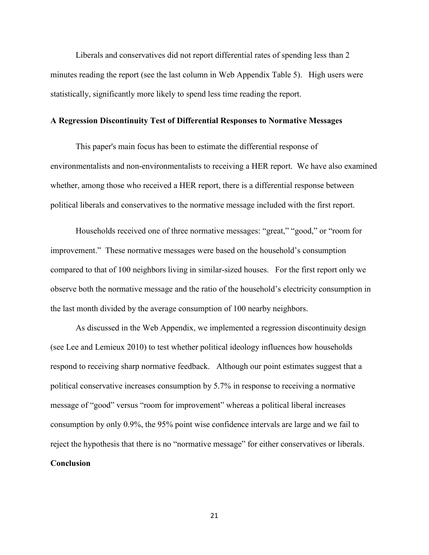Liberals and conservatives did not report differential rates of spending less than 2 minutes reading the report (see the last column in Web Appendix Table 5). High users were statistically, significantly more likely to spend less time reading the report.

#### **A Regression Discontinuity Test of Differential Responses to Normative Messages**

This paper's main focus has been to estimate the differential response of environmentalists and non-environmentalists to receiving a HER report. We have also examined whether, among those who received a HER report, there is a differential response between political liberals and conservatives to the normative message included with the first report.

Households received one of three normative messages: "great," "good," or "room for improvement." These normative messages were based on the household's consumption compared to that of 100 neighbors living in similar-sized houses. For the first report only we observe both the normative message and the ratio of the household's electricity consumption in the last month divided by the average consumption of 100 nearby neighbors.

As discussed in the Web Appendix, we implemented a regression discontinuity design (see Lee and Lemieux 2010) to test whether political ideology influences how households respond to receiving sharp normative feedback. Although our point estimates suggest that a political conservative increases consumption by 5.7% in response to receiving a normative message of "good" versus "room for improvement" whereas a political liberal increases consumption by only 0.9%, the 95% point wise confidence intervals are large and we fail to reject the hypothesis that there is no "normative message" for either conservatives or liberals. **Conclusion**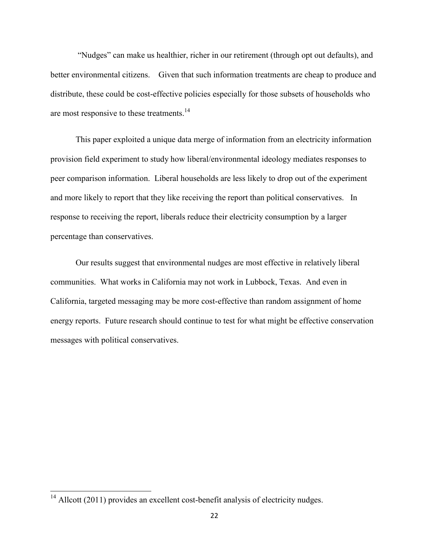"Nudges" can make us healthier, richer in our retirement (through opt out defaults), and better environmental citizens. Given that such information treatments are cheap to produce and distribute, these could be cost-effective policies especially for those subsets of households who are most responsive to these treatments.<sup>14</sup>

This paper exploited a unique data merge of information from an electricity information provision field experiment to study how liberal/environmental ideology mediates responses to peer comparison information. Liberal households are less likely to drop out of the experiment and more likely to report that they like receiving the report than political conservatives. In response to receiving the report, liberals reduce their electricity consumption by a larger percentage than conservatives.

Our results suggest that environmental nudges are most effective in relatively liberal communities. What works in California may not work in Lubbock, Texas. And even in California, targeted messaging may be more cost-effective than random assignment of home energy reports. Future research should continue to test for what might be effective conservation messages with political conservatives.

 $\overline{\phantom{a}}$ 

 $14$  Allcott (2011) provides an excellent cost-benefit analysis of electricity nudges.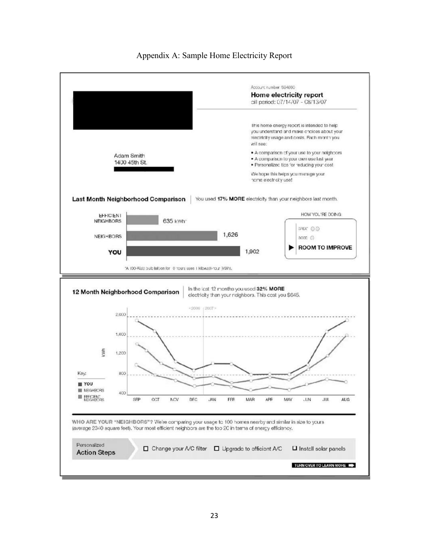

# Appendix A: Sample Home Electricity Report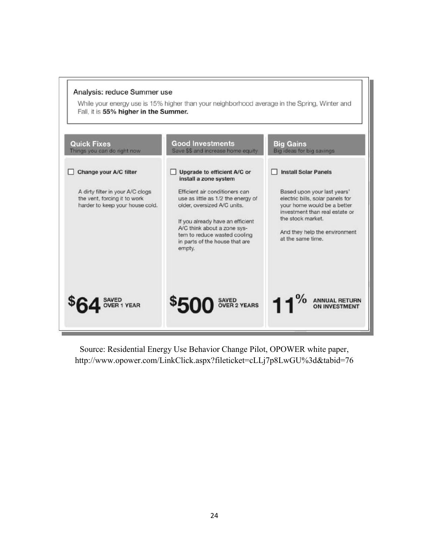

Source: Residential Energy Use Behavior Change Pilot, OPOWER white paper, http://www.opower.com/LinkClick.aspx?fileticket=cLLj7p8LwGU%3d&tabid=76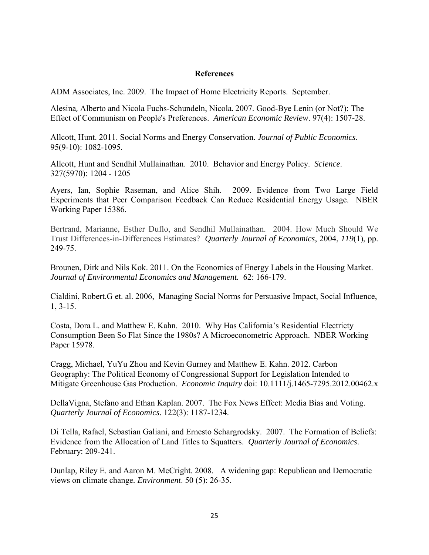### **References**

ADM Associates, Inc. 2009. The Impact of Home Electricity Reports. September.

Alesina, Alberto and Nicola Fuchs-Schundeln, Nicola. 2007. Good-Bye Lenin (or Not?): The Effect of Communism on People's Preferences. *American Economic Review*. 97(4): 1507-28.

Allcott, Hunt. 2011. Social Norms and Energy Conservation. *Journal of Public Economics*. 95(9-10): 1082-1095.

Allcott, Hunt and Sendhil Mullainathan. 2010. Behavior and Energy Policy. *Science*. 327(5970): 1204 - 1205

Ayers, Ian, Sophie Raseman, and Alice Shih. 2009. Evidence from Two Large Field Experiments that Peer Comparison Feedback Can Reduce Residential Energy Usage. NBER Working Paper 15386.

Bertrand, Marianne, Esther Duflo, and Sendhil Mullainathan. 2004. How Much Should We Trust Differences-in-Differences Estimates? *Quarterly Journal of Economics*, 2004, *119*(1), pp. 249-75.

Brounen, Dirk and Nils Kok. 2011. On the Economics of Energy Labels in the Housing Market. *Journal of Environmental Economics and Management.* 62: 166-179.

Cialdini, Robert.G et. al. 2006, Managing Social Norms for Persuasive Impact, Social Influence, 1, 3-15.

Costa, Dora L. and Matthew E. Kahn. 2010. Why Has California's Residential Electricty Consumption Been So Flat Since the 1980s? A Microeconometric Approach. NBER Working Paper 15978.

Cragg, Michael, YuYu Zhou and Kevin Gurney and Matthew E. Kahn. 2012. Carbon Geography: The Political Economy of Congressional Support for Legislation Intended to Mitigate Greenhouse Gas Production. *Economic Inquiry* doi: 10.1111/j.1465-7295.2012.00462.x

DellaVigna, Stefano and Ethan Kaplan. 2007. The Fox News Effect: Media Bias and Voting. *Quarterly Journal of Economics*. 122(3): 1187-1234.

Di Tella, Rafael, Sebastian Galiani, and Ernesto Schargrodsky. 2007. The Formation of Beliefs: Evidence from the Allocation of Land Titles to Squatters. *Quarterly Journal of Economics*. February: 209-241.

Dunlap, Riley E. and Aaron M. McCright. 2008. A widening gap: Republican and Democratic views on climate change*. Environment*. 50 (5): 26-35.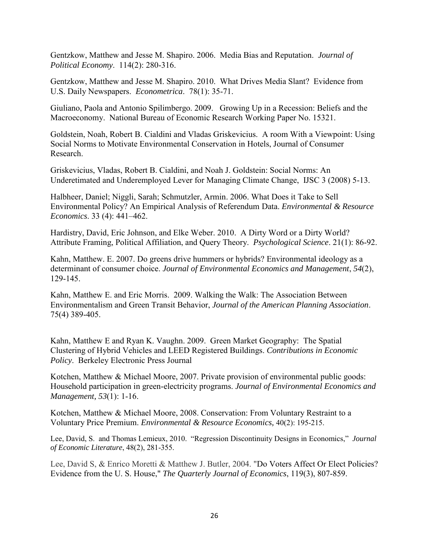Gentzkow, Matthew and Jesse M. Shapiro. 2006. Media Bias and Reputation. *Journal of Political Economy*. 114(2): 280-316.

Gentzkow, Matthew and Jesse M. Shapiro. 2010. What Drives Media Slant? Evidence from U.S. Daily Newspapers. *Econometrica*. 78(1): 35-71.

Giuliano, Paola and Antonio Spilimbergo. 2009. Growing Up in a Recession: Beliefs and the Macroeconomy. National Bureau of Economic Research Working Paper No. 15321.

Goldstein, Noah, Robert B. Cialdini and Vladas Griskevicius. A room With a Viewpoint: Using Social Norms to Motivate Environmental Conservation in Hotels, Journal of Consumer Research.

Griskevicius, Vladas, Robert B. Cialdini, and Noah J. Goldstein: Social Norms: An Underetimated and Underemployed Lever for Managing Climate Change, IJSC 3 (2008) 5-13.

Halbheer, Daniel; Niggli, Sarah; Schmutzler, Armin. 2006. What Does it Take to Sell Environmental Policy? An Empirical Analysis of Referendum Data. *Environmental & Resource Economics*. 33 (4): 441–462.

Hardistry, David, Eric Johnson, and Elke Weber. 2010. A Dirty Word or a Dirty World? Attribute Framing, Political Affiliation, and Query Theory. *Psychological Science*. 21(1): 86-92.

Kahn, Matthew. E. 2007. Do greens drive hummers or hybrids? Environmental ideology as a determinant of consumer choice. *Journal of Environmental Economics and Management*, *54*(2), 129-145.

Kahn, Matthew E. and Eric Morris. 2009. Walking the Walk: The Association Between Environmentalism and Green Transit Behavior, *Journal of the American Planning Association*. 75(4) 389-405.

Kahn, Matthew E and Ryan K. Vaughn. 2009. Green Market Geography: The Spatial Clustering of Hybrid Vehicles and LEED Registered Buildings. *Contributions in Economic Policy*. Berkeley Electronic Press Journal

Kotchen, Matthew & Michael Moore, 2007. Private provision of environmental public goods: Household participation in green-electricity programs. *Journal of Environmental Economics and Management, 53*(1): 1-16.

Kotchen, Matthew & Michael Moore, 2008. Conservation: From Voluntary Restraint to a Voluntary Price Premium. *Environmental & Resource Economics,* 40(2): 195-215.

Lee, David, S. and Thomas Lemieux, 2010. "Regression Discontinuity Designs in Economics," *Journal of Economic Literature*, 48(2), 281-355.

Lee, David S, & Enrico Moretti & Matthew J. Butler, 2004. ["Do Voters Affect Or Elect Policies?](http://ideas.repec.org/a/tpr/qjecon/v119y2004i3p807-859.html)  [Evidence from the U. S. House,](http://ideas.repec.org/a/tpr/qjecon/v119y2004i3p807-859.html)" *[The Quarterly Journal of Economics](http://ideas.repec.org/s/tpr/qjecon.html)*, 119(3), 807-859.